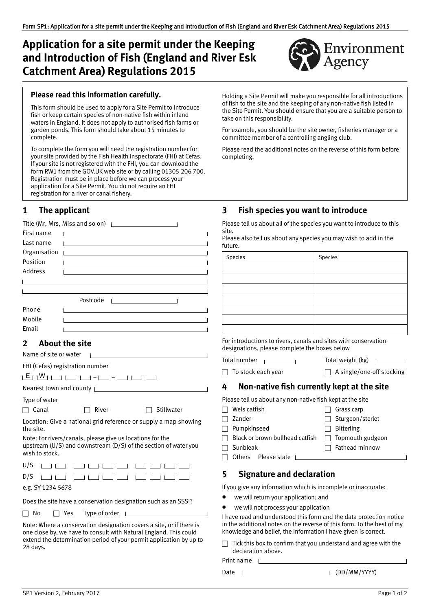# **Application for a site permit under the Keeping and Introduction of Fish (England and River Esk Catchment Area) Regulations 2015**



### **Please read this information carefully.**

This form should be used to apply for a Site Permit to introduce fish or keep certain species of non‐native fish within inland waters in England. It does not apply to authorised fish farms or garden ponds. This form should take about 15 minutes to complete.

To complete the form you will need the registration number for your site provided by the Fish Health Inspectorate (FHI) at Cefas. If your site is not registered with the FHI, you can download the form RW1 from th[e GOV.UK](https://www.gov.uk/) web site or by calling 01305 206 700. Registration must be in place before we can process your application for a Site Permit. You do not require an FHI registration for a river or canal fishery.

### **1 The applicant**

|              | Title (Mr, Mrs, Miss and so on) $\Box$                                                                                 |
|--------------|------------------------------------------------------------------------------------------------------------------------|
| First name   | <u> Linda a control de la control de la control de la control de la control de la control de la control de la con</u>  |
| Last name    | the control of the control of the control of the control of the control of                                             |
| Organisation | <u> La componente de la componenta de la componenta de la componenta de la componenta de la componenta de la compo</u> |
| Position     |                                                                                                                        |
| Address      |                                                                                                                        |
|              |                                                                                                                        |
|              |                                                                                                                        |
|              | Postcode<br>the control of the control of the control of                                                               |
| Phone        |                                                                                                                        |
| Mobile       |                                                                                                                        |
| Email        |                                                                                                                        |

### **2 About the site**

| Name of site or water           |  |
|---------------------------------|--|
| FHI (Cefas) registration number |  |

| ı r<br>$\sim$ | v v<br>. . |  |  |  |  |  |
|---------------|------------|--|--|--|--|--|
|               |            |  |  |  |  |  |

Nearest town and county

Type of water

 $\Box$  Canal  $\Box$  River  $\Box$  Stillwater

Location: Give a national grid reference or supply a map showing the site.

Note: For rivers/canals, please give us locations for the upstream (U/S) and downstream (D/S) of the section of water you wish to stock.

e.g. SY 1234 5678

Does the site have a conservation designation such as an SSSI?

 $\Box$  No  $\Box$  Yes Type of order  $\Box$ 

Note: Where a conservation designation covers a site, or if there is one close by, we have to consult with Natural England. This could extend the determination period of your permit application by up to 28 days.

Holding a Site Permit will make you responsible for all introductions of fish to the site and the keeping of any non‐native fish listed in the Site Permit. You should ensure that you are a suitable person to take on this responsibility.

For example, you should be the site owner, fisheries manager or a committee member of a controlling angling club.

Please read the additional notes on the reverse of this form before completing.

### **3 Fish species you want to introduce**

Please tell us about all of the species you want to introduce to this site.

| Please also tell us about any species you may wish to add in the |  |
|------------------------------------------------------------------|--|
| future.                                                          |  |

| Species | Species |
|---------|---------|
|         |         |
|         |         |
|         |         |
|         |         |
|         |         |
|         |         |
|         |         |

For introductions to rivers, canals and sites with conservation designations, please complete the boxes below

Total number  $\sqrt{ }$  Total weight (kg)

To stock each year A single/one‐off stocking

## **4 Non‐native fish currently kept at the site**

Please tell us about any non‐native fish kept at the site

 $\Box$  Wels catfish  $\Box$  Grass carp

 $\Box$  Others Please state  $\Box$ 

- 
- □ Zander TSturgeon/sterlet  $\Box$  Pumpkinseed  $\Box$  Bitterling
	-
- $\Box$  Black or brown bullhead catfish  $\Box$  Topmouth gudgeon
- $\Box$  Sunbleak  $\Box$  Fathead minnow

# **5 Signature and declaration**

If you give any information which is incomplete or inaccurate:

- we will return your application; and
- we will not process your application

I have read and understood this form and the data protection notice in the additional notes on the reverse of this form. To the best of my knowledge and belief, the information I have given is correct.

 Tick this box to confirm that you understand and agree with the declaration above.

Print name

Date (DD/MM/YYYY)